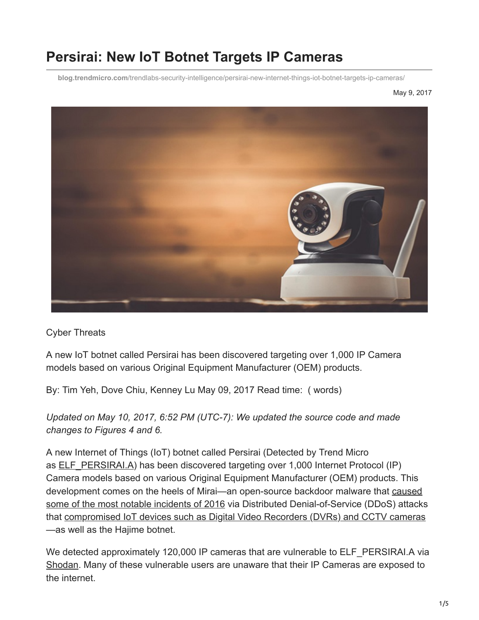# **Persirai: New IoT Botnet Targets IP Cameras**

**blog.trendmicro.com**[/trendlabs-security-intelligence/persirai-new-internet-things-iot-botnet-targets-ip-cameras/](http://blog.trendmicro.com/trendlabs-security-intelligence/persirai-new-internet-things-iot-botnet-targets-ip-cameras/)

May 9, 2017



Cyber Threats

A new IoT botnet called Persirai has been discovered targeting over 1,000 IP Camera models based on various Original Equipment Manufacturer (OEM) products.

By: Tim Yeh, Dove Chiu, Kenney Lu May 09, 2017 Read time: ( words)

*Updated on May 10, 2017, 6:52 PM (UTC-7): We updated the source code and made changes to Figures 4 and 6.*

A new Internet of Things (IoT) botnet called Persirai (Detected by Trend Micro as [ELF\\_PERSIRAI.A](https://www.trendmicro.com/vinfo/us/threat-encyclopedia/malware/ELF_PERSIRAI.A)) has been discovered targeting over 1,000 Internet Protocol (IP) Camera models based on various Original Equipment Manufacturer (OEM) products. This [development comes on the heels of Mirai—an open-source backdoor malware that caused](https://www.trendmicro.com/vinfo/us/security/news/cyber-attacks/a-rundown-of-the-biggest-cybersecurity-incidents-of-2016#WorstTroublemakerMirai) some of the most notable incidents of 2016 via Distributed Denial-of-Service (DDoS) attacks that [compromised IoT devices such as Digital Video Recorders \(DVRs\) and CCTV cameras](http://blog.trendmicro.com/trendlabs-security-intelligence/mirai-widens-distribution-new-trojan-scans-ports/) —as well as the Hajime botnet.

We detected approximately 120,000 IP cameras that are vulnerable to ELF\_PERSIRAI.A via [Shodan](https://www.shodan.io/). Many of these vulnerable users are unaware that their IP Cameras are exposed to the internet.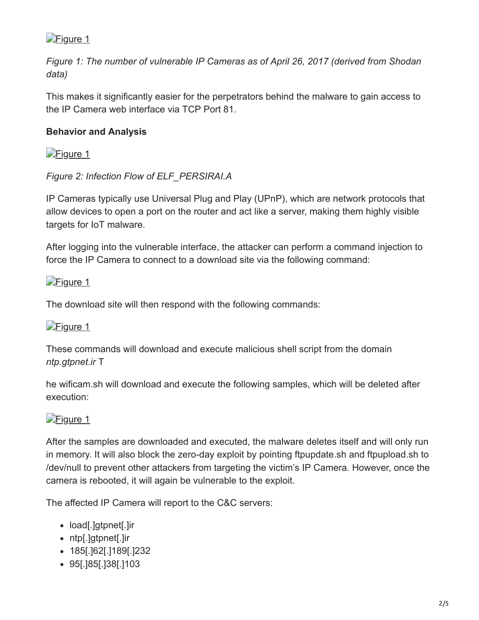

*Figure 1: The number of vulnerable IP Cameras as of April 26, 2017 (derived from Shodan data)*

This makes it significantly easier for the perpetrators behind the malware to gain access to the IP Camera web interface via TCP Port 81.

#### **Behavior and Analysis**

[Figure 1](http://blog.trendmicro.com/content/dam/trendmicro/global/en/migrated/security-intelligence-migration-spreadsheet/trendlabs-security-intelligence/2017/04/figure-1-01-1024x699.jpg)

#### *Figure 2: Infection Flow of ELF\_PERSIRAI.A*

IP Cameras typically use Universal Plug and Play (UPnP), which are network protocols that allow devices to open a port on the router and act like a server, making them highly visible targets for IoT malware.

After logging into the vulnerable interface, the attacker can perform a command injection to force the IP Camera to connect to a download site via the following command:

#### [Figure 1](http://blog.trendmicro.com/content/dam/trendmicro/global/en/migrated/security-intelligence-migration-spreadsheet/trendlabs-security-intelligence/2017/05/persirai-source-code-2.jpg)

The download site will then respond with the following commands:

#### [Figure 1](http://blog.trendmicro.com/content/dam/trendmicro/global/en/migrated/security-intelligence-migration-spreadsheet/trendlabs-security-intelligence/2017/05/persirai-source-code-1.jpg)

These commands will download and execute malicious shell script from the domain *ntp.gtpnet.ir* T

he wificam.sh will download and execute the following samples, which will be deleted after execution:

#### [Figure 1](http://blog.trendmicro.com/content/dam/trendmicro/global/en/migrated/security-intelligence-migration-spreadsheet/trendlabs-security-intelligence/2017/05/persirai-source-code.jpg)

After the samples are downloaded and executed, the malware deletes itself and will only run in memory. It will also block the zero-day exploit by pointing ftpupdate.sh and ftpupload.sh to /dev/null to prevent other attackers from targeting the victim's IP Camera. However, once the camera is rebooted, it will again be vulnerable to the exploit.

The affected IP Camera will report to the C&C servers:

- load[.]gtpnet[.]ir
- ntp[.]gtpnet[.]ir
- 185[.]62[.]189[.]232
- 95[.]85[.]38[.]103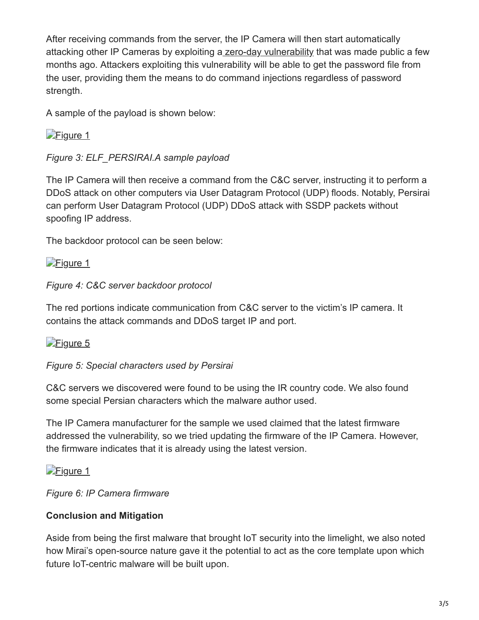After receiving commands from the server, the IP Camera will then start automatically attacking other IP Cameras by exploiting [a zero-day vulnerability](https://pierrekim.github.io/blog/2017-03-08-camera-goahead-0day.html) that was made public a few months ago. Attackers exploiting this vulnerability will be able to get the password file from the user, providing them the means to do command injections regardless of password strength.

A sample of the payload is shown below:

[Figure 1](http://blog.trendmicro.com/content/dam/trendmicro/global/en/migrated/security-intelligence-migration-spreadsheet/trendlabs-security-intelligence/2017/04/persirai-sample-payload.jpg)

*Figure 3: ELF\_PERSIRAI.A sample payload*

The IP Camera will then receive a command from the C&C server, instructing it to perform a DDoS attack on other computers via User Datagram Protocol (UDP) floods. Notably, Persirai can perform User Datagram Protocol (UDP) DDoS attack with SSDP packets without spoofing IP address.

The backdoor protocol can be seen below:

[Figure 1](http://blog.trendmicro.com/content/dam/trendmicro/global/en/migrated/security-intelligence-migration-spreadsheet/trendlabs-security-intelligence/2017/05/persirai-protocol.jpg)

*Figure 4: C&C server backdoor protocol*

The red portions indicate communication from C&C server to the victim's IP camera. It contains the attack commands and DDoS target IP and port.

[Figure 5](http://blog.trendmicro.com/content/dam/trendmicro/global/en/migrated/security-intelligence-migration-spreadsheet/trendlabs-security-intelligence/2017/08/figure5_persirai.jpg)

### *Figure 5: Special characters used by Persirai*

C&C servers we discovered were found to be using the IR country code. We also found some special Persian characters which the malware author used.

The IP Camera manufacturer for the sample we used claimed that the latest firmware addressed the vulnerability, so we tried updating the firmware of the IP Camera. However, the firmware indicates that it is already using the latest version.

[Figure 1](http://blog.trendmicro.com/content/dam/trendmicro/global/en/migrated/security-intelligence-migration-spreadsheet/trendlabs-security-intelligence/2017/05/persirai-update.jpg)

*Figure 6: IP Camera firmware*

## **Conclusion and Mitigation**

Aside from being the first malware that brought IoT security into the limelight, we also noted how Mirai's open-source nature gave it the potential to act as the core template upon which future IoT-centric malware will be built upon.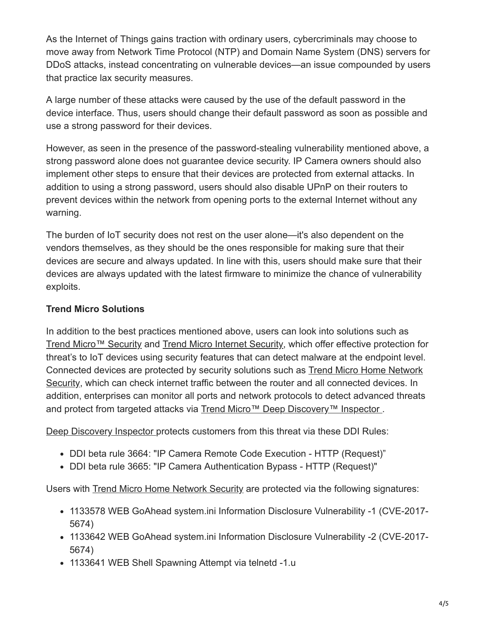As the Internet of Things gains traction with ordinary users, cybercriminals may choose to move away from Network Time Protocol (NTP) and Domain Name System (DNS) servers for DDoS attacks, instead concentrating on vulnerable devices—an issue compounded by users that practice lax security measures.

A large number of these attacks were caused by the use of the default password in the device interface. Thus, users should change their default password as soon as possible and use a strong password for their devices.

However, as seen in the presence of the password-stealing vulnerability mentioned above, a strong password alone does not guarantee device security. IP Camera owners should also implement other steps to ensure that their devices are protected from external attacks. In addition to using a strong password, users should also disable UPnP on their routers to prevent devices within the network from opening ports to the external Internet without any warning.

The burden of IoT security does not rest on the user alone—it's also dependent on the vendors themselves, as they should be the ones responsible for making sure that their devices are secure and always updated. In line with this, users should make sure that their devices are always updated with the latest firmware to minimize the chance of vulnerability exploits.

#### **Trend Micro Solutions**

In addition to the best practices mentioned above, users can look into solutions such as [Trend Micro™ Security](http://blog.trendmicro.com/en_us/forHome/products.html) and [Trend Micro Internet Security](http://blog.trendmicro.com/en_us/forHome/products/internet-security.html), which offer effective protection for threat's to IoT devices using security features that can detect malware at the endpoint level. [Connected devices are protected by security solutions such as Trend Micro Home Network](http://shop.trendmicro-apac.com/homenetworksecurity/) Security, which can check internet traffic between the router and all connected devices. In addition, enterprises can monitor all ports and network protocols to detect advanced threats and protect from targeted attacks via Trend Micro™ Deep Discovery<sup>™</sup> Inspector.

[Deep Discovery Inspector p](http://blog.trendmicro.com/en_us/business/products/network/advanced-threat-protection.html)rotects customers from this threat via these DDI Rules:

- DDI beta rule 3664: "IP Camera Remote Code Execution HTTP (Request)"
- DDI beta rule 3665: "IP Camera Authentication Bypass HTTP (Request)"

Users with [Trend Micro Home Network Security](http://shop.trendmicro-apac.com/homenetworksecurity/) are protected via the following signatures:

- 1133578 WEB GoAhead system.ini Information Disclosure Vulnerability -1 (CVE-2017- 5674)
- 1133642 WEB GoAhead system.ini Information Disclosure Vulnerability -2 (CVE-2017- 5674)
- 1133641 WEB Shell Spawning Attempt via telnetd -1.u